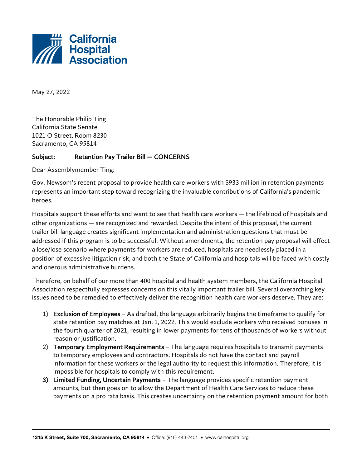

May 27, 2022

The Honorable Philip Ting California State Senate 1021 O Street, Room 8230 Sacramento, CA 95814

## Subject: Retention Pay Trailer Bill — CONCERNS

Dear Assemblymember Ting:

Gov. Newsom's recent proposal to provide health care workers with \$933 million in retention payments represents an important step toward recognizing the invaluable contributions of California's pandemic heroes.

Hospitals support these efforts and want to see that health care workers — the lifeblood of hospitals and other organizations — are recognized and rewarded. Despite the intent of this proposal, the current trailer bill language creates significant implementation and administration questions that must be addressed if this program is to be successful. Without amendments, the retention pay proposal will effect a lose/lose scenario where payments for workers are reduced, hospitals are needlessly placed in a position of excessive litigation risk, and both the State of California and hospitals will be faced with costly and onerous administrative burdens.

Therefore, on behalf of our more than 400 hospital and health system members, the California Hospital Association respectfully expresses concerns on this vitally important trailer bill. Several overarching key issues need to be remedied to effectively deliver the recognition health care workers deserve. They are:

- 1) Exclusion of Employees As drafted, the language arbitrarily begins the timeframe to qualify for state retention pay matches at Jan. 1, 2022. This would exclude workers who received bonuses in the fourth quarter of 2021, resulting in lower payments for tens of thousands of workers without reason or justification.
- 2) Temporary Employment Requirements The language requires hospitals to transmit payments to temporary employees and contractors. Hospitals do not have the contact and payroll information for these workers or the legal authority to request this information. Therefore, it is impossible for hospitals to comply with this requirement.
- 3) Limited Funding, Uncertain Payments The language provides specific retention payment amounts, but then goes on to allow the Department of Health Care Services to reduce these payments on a pro rata basis. This creates uncertainty on the retention payment amount for both